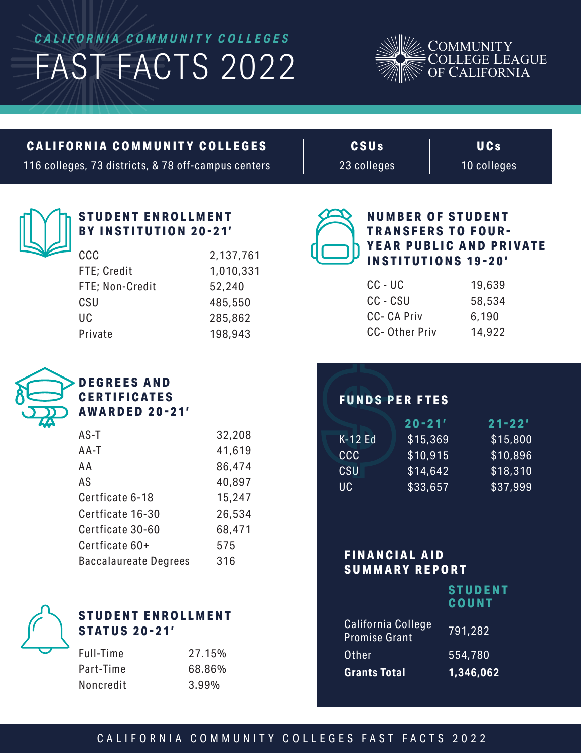# *CALIFORNIA COMMUNITY COLLEGES* FAST FACTS 2022



#### **CALIFORNIA COMMUNITY COLLEGES**

116 colleges, 73 districts, & 78 off-campus centers

**CSU s** 23 colleges

**U C s** 10 colleges



#### **STUDENT ENROLLMENT BY INSTITUTION 20-21 '**

| ccc             | 2,137,761 |
|-----------------|-----------|
| FTE; Credit     | 1,010,331 |
| FTE; Non-Credit | 52,240    |
| CSU             | 485,550   |
| UC              | 285,862   |
| Private         | 198,943   |
|                 |           |



#### **NUMBER OF STUDENT TRANSFERS TO FOUR-YEAR PUBLIC AND PRIVATE INSTITUTIONS 19-20'**

| 19,639 |
|--------|
| 58,534 |
| 6,190  |
| 14,922 |
|        |



## **DEGREES AND CERTIFICATES**

**AWARDED 20-21'**

| $AS-T$                       | 32,208 |
|------------------------------|--------|
| AA-T                         | 41,619 |
| AA                           | 86,474 |
| AS                           | 40,897 |
| Certficate 6-18              | 15,247 |
| Certficate 16-30             | 26,534 |
| Certficate 30-60             | 68,471 |
| Certficate 60+               | 575    |
| <b>Baccalaureate Degrees</b> | 316    |



## **STUDENT ENROLLMENT STATUS 20-21'**

| 27.15% |
|--------|
| 68.86% |
| 3.99%  |
|        |

# **FUNDS PER FTES**

|         | $20 - 21'$ | $21 - 22'$ |
|---------|------------|------------|
| K-12 Fd | \$15,369   | \$15,800   |
| CCC     | \$10,915   | \$10,896   |
| CSU     | \$14,642   | \$18,310   |
| UC.     | \$33,657   | \$37,999   |
|         |            |            |

#### **FINANCIAL AID SUMMARY REPORT**

| <b>STUDENT</b> |  |  |
|----------------|--|--|
| <b>COUNT</b>   |  |  |

| 1,346,062 |
|-----------|
| 554,780   |
| 791,282   |
|           |

## CALIFORNIA COMMUNITY COLLEGES FAST FACTS 2022